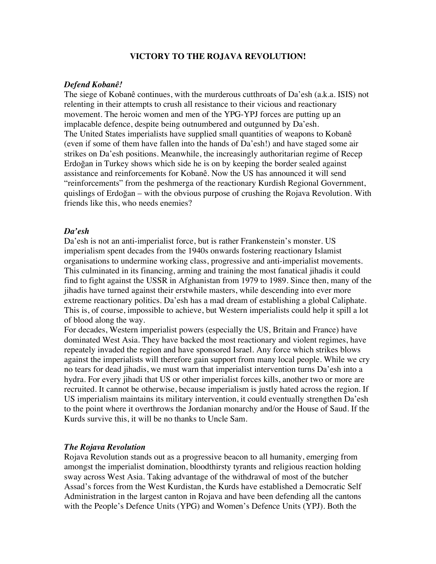### **VICTORY TO THE ROJAVA REVOLUTION!**

#### *Defend Kobanê!*

The siege of Kobanê continues, with the murderous cutthroats of Da'esh (a.k.a. ISIS) not relenting in their attempts to crush all resistance to their vicious and reactionary movement. The heroic women and men of the YPG-YPJ forces are putting up an implacable defence, despite being outnumbered and outgunned by Da'esh. The United States imperialists have supplied small quantities of weapons to Kobanê (even if some of them have fallen into the hands of Da'esh!) and have staged some air strikes on Da'esh positions. Meanwhile, the increasingly authoritarian regime of Recep Erdoğan in Turkey shows which side he is on by keeping the border sealed against assistance and reinforcements for Kobanê. Now the US has announced it will send "reinforcements" from the peshmerga of the reactionary Kurdish Regional Government, quislings of Erdoğan – with the obvious purpose of crushing the Rojava Revolution. With friends like this, who needs enemies?

### *Da'esh*

Da'esh is not an anti-imperialist force, but is rather Frankenstein's monster. US imperialism spent decades from the 1940s onwards fostering reactionary Islamist organisations to undermine working class, progressive and anti-imperialist movements. This culminated in its financing, arming and training the most fanatical jihadis it could find to fight against the USSR in Afghanistan from 1979 to 1989. Since then, many of the jihadis have turned against their erstwhile masters, while descending into ever more extreme reactionary politics. Da'esh has a mad dream of establishing a global Caliphate. This is, of course, impossible to achieve, but Western imperialists could help it spill a lot of blood along the way.

For decades, Western imperialist powers (especially the US, Britain and France) have dominated West Asia. They have backed the most reactionary and violent regimes, have repeately invaded the region and have sponsored Israel. Any force which strikes blows against the imperialists will therefore gain support from many local people. While we cry no tears for dead jihadis, we must warn that imperialist intervention turns Da'esh into a hydra. For every jihadi that US or other imperialist forces kills, another two or more are recruited. It cannot be otherwise, because imperialism is justly hated across the region. If US imperialism maintains its military intervention, it could eventually strengthen Da'esh to the point where it overthrows the Jordanian monarchy and/or the House of Saud. If the Kurds survive this, it will be no thanks to Uncle Sam.

#### *The Rojava Revolution*

Rojava Revolution stands out as a progressive beacon to all humanity, emerging from amongst the imperialist domination, bloodthirsty tyrants and religious reaction holding sway across West Asia. Taking advantage of the withdrawal of most of the butcher Assad's forces from the West Kurdistan, the Kurds have established a Democratic Self Administration in the largest canton in Rojava and have been defending all the cantons with the People's Defence Units (YPG) and Women's Defence Units (YPJ). Both the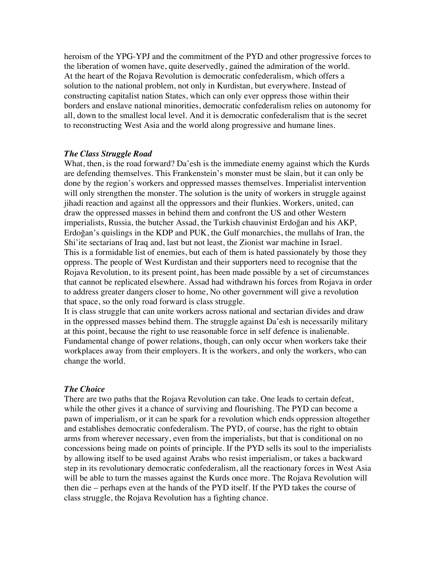heroism of the YPG-YPJ and the commitment of the PYD and other progressive forces to the liberation of women have, quite deservedly, gained the admiration of the world. At the heart of the Rojava Revolution is democratic confederalism, which offers a solution to the national problem, not only in Kurdistan, but everywhere. Instead of constructing capitalist nation States, which can only ever oppress those within their borders and enslave national minorities, democratic confederalism relies on autonomy for all, down to the smallest local level. And it is democratic confederalism that is the secret to reconstructing West Asia and the world along progressive and humane lines.

#### *The Class Struggle Road*

What, then, is the road forward? Da'esh is the immediate enemy against which the Kurds are defending themselves. This Frankenstein's monster must be slain, but it can only be done by the region's workers and oppressed masses themselves. Imperialist intervention will only strengthen the monster. The solution is the unity of workers in struggle against jihadi reaction and against all the oppressors and their flunkies. Workers, united, can draw the oppressed masses in behind them and confront the US and other Western imperialists, Russia, the butcher Assad, the Turkish chauvinist Erdoğan and his AKP, Erdoğan's quislings in the KDP and PUK, the Gulf monarchies, the mullahs of Iran, the Shi'ite sectarians of Iraq and, last but not least, the Zionist war machine in Israel. This is a formidable list of enemies, but each of them is hated passionately by those they oppress. The people of West Kurdistan and their supporters need to recognise that the Rojava Revolution, to its present point, has been made possible by a set of circumstances that cannot be replicated elsewhere. Assad had withdrawn his forces from Rojava in order to address greater dangers closer to home, No other government will give a revolution that space, so the only road forward is class struggle.

It is class struggle that can unite workers across national and sectarian divides and draw in the oppressed masses behind them. The struggle against Da'esh is necessarily military at this point, because the right to use reasonable force in self defence is inalienable. Fundamental change of power relations, though, can only occur when workers take their workplaces away from their employers. It is the workers, and only the workers, who can change the world.

## *The Choice*

There are two paths that the Rojava Revolution can take. One leads to certain defeat, while the other gives it a chance of surviving and flourishing. The PYD can become a pawn of imperialism, or it can be spark for a revolution which ends oppression altogether and establishes democratic confederalism. The PYD, of course, has the right to obtain arms from wherever necessary, even from the imperialists, but that is conditional on no concessions being made on points of principle. If the PYD sells its soul to the imperialists by allowing itself to be used against Arabs who resist imperialism, or takes a backward step in its revolutionary democratic confederalism, all the reactionary forces in West Asia will be able to turn the masses against the Kurds once more. The Rojava Revolution will then die – perhaps even at the hands of the PYD itself. If the PYD takes the course of class struggle, the Rojava Revolution has a fighting chance.